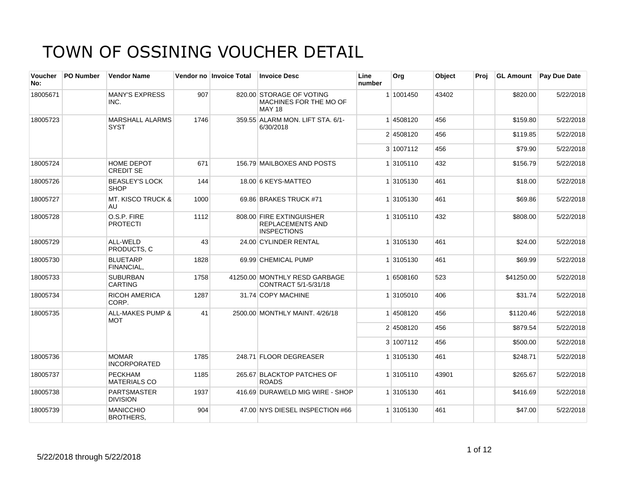| Voucher<br>No: | PO Number | <b>Vendor Name</b>                    |      | Vendor no Invoice Total | <b>Invoice Desc</b>                                                       | Line<br>number | Org       | Object | Proj | <b>GL Amount</b> | <b>Pay Due Date</b> |
|----------------|-----------|---------------------------------------|------|-------------------------|---------------------------------------------------------------------------|----------------|-----------|--------|------|------------------|---------------------|
| 18005671       |           | <b>MANY'S EXPRESS</b><br>INC.         | 907  |                         | 820.00 STORAGE OF VOTING<br>MACHINES FOR THE MO OF<br><b>MAY 18</b>       |                | 1 1001450 | 43402  |      | \$820.00         | 5/22/2018           |
| 18005723       |           | <b>MARSHALL ALARMS</b><br><b>SYST</b> | 1746 |                         | 359.55 ALARM MON, LIFT STA, 6/1-<br>6/30/2018                             |                | 14508120  | 456    |      | \$159.80         | 5/22/2018           |
|                |           |                                       |      |                         |                                                                           |                | 2 4508120 | 456    |      | \$119.85         | 5/22/2018           |
|                |           |                                       |      |                         |                                                                           |                | 3 1007112 | 456    |      | \$79.90          | 5/22/2018           |
| 18005724       |           | HOME DEPOT<br><b>CREDIT SE</b>        | 671  |                         | 156.79 MAILBOXES AND POSTS                                                |                | 1 3105110 | 432    |      | \$156.79         | 5/22/2018           |
| 18005726       |           | <b>BEASLEY'S LOCK</b><br><b>SHOP</b>  | 144  |                         | 18.00 6 KEYS-MATTEO                                                       |                | 1 3105130 | 461    |      | \$18.00          | 5/22/2018           |
| 18005727       |           | <b>MT. KISCO TRUCK &amp;</b><br>AU    | 1000 |                         | 69.86 BRAKES TRUCK #71                                                    |                | 1 3105130 | 461    |      | \$69.86          | 5/22/2018           |
| 18005728       |           | O.S.P. FIRE<br><b>PROTECTI</b>        | 1112 |                         | 808.00 FIRE EXTINGUISHER<br><b>REPLACEMENTS AND</b><br><b>INSPECTIONS</b> |                | 1 3105110 | 432    |      | \$808.00         | 5/22/2018           |
| 18005729       |           | ALL-WELD<br>PRODUCTS, C               | 43   |                         | 24.00 CYLINDER RENTAL                                                     |                | 1 3105130 | 461    |      | \$24.00          | 5/22/2018           |
| 18005730       |           | <b>BLUETARP</b><br><b>FINANCIAL.</b>  | 1828 |                         | 69.99 CHEMICAL PUMP                                                       |                | 1 3105130 | 461    |      | \$69.99          | 5/22/2018           |
| 18005733       |           | <b>SUBURBAN</b><br><b>CARTING</b>     | 1758 |                         | 41250.00 MONTHLY RESD GARBAGE<br>CONTRACT 5/1-5/31/18                     |                | 1 6508160 | 523    |      | \$41250.00       | 5/22/2018           |
| 18005734       |           | <b>RICOH AMERICA</b><br>CORP.         | 1287 |                         | 31.74 COPY MACHINE                                                        |                | 1 3105010 | 406    |      | \$31.74          | 5/22/2018           |
| 18005735       |           | ALL-MAKES PUMP &<br><b>MOT</b>        | 41   |                         | 2500.00 MONTHLY MAINT, 4/26/18                                            |                | 1 4508120 | 456    |      | \$1120.46        | 5/22/2018           |
|                |           |                                       |      |                         |                                                                           |                | 2 4508120 | 456    |      | \$879.54         | 5/22/2018           |
|                |           |                                       |      |                         |                                                                           |                | 3 1007112 | 456    |      | \$500.00         | 5/22/2018           |
| 18005736       |           | <b>MOMAR</b><br><b>INCORPORATED</b>   | 1785 |                         | 248.71 FLOOR DEGREASER                                                    |                | 1 3105130 | 461    |      | \$248.71         | 5/22/2018           |
| 18005737       |           | <b>PECKHAM</b><br><b>MATERIALS CO</b> | 1185 |                         | 265.67 BLACKTOP PATCHES OF<br><b>ROADS</b>                                |                | 1 3105110 | 43901  |      | \$265.67         | 5/22/2018           |
| 18005738       |           | <b>PARTSMASTER</b><br><b>DIVISION</b> | 1937 |                         | 416.69 DURAWELD MIG WIRE - SHOP                                           |                | 1 3105130 | 461    |      | \$416.69         | 5/22/2018           |
| 18005739       |           | MANICCHIO<br><b>BROTHERS.</b>         | 904  |                         | 47.00 NYS DIESEL INSPECTION #66                                           |                | 1 3105130 | 461    |      | \$47.00          | 5/22/2018           |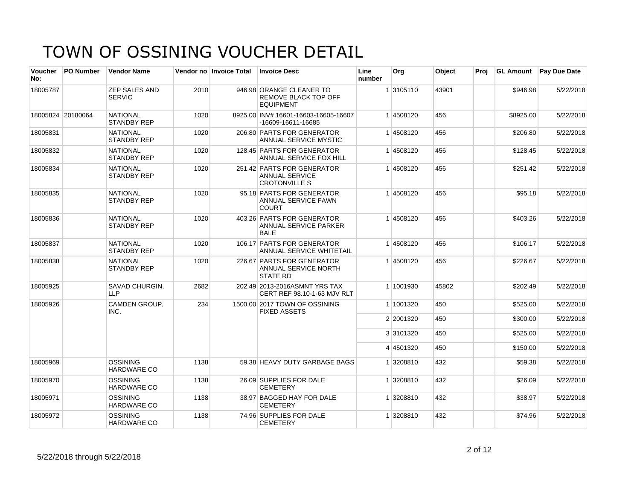| Voucher<br>No: | <b>PO Number</b>  | <b>Vendor Name</b>                    |      | Vendor no Invoice Total | <b>Invoice Desc</b>                                                         | Line<br>number | Org       | Object | Proi |           | <b>GL Amount</b> Pay Due Date |
|----------------|-------------------|---------------------------------------|------|-------------------------|-----------------------------------------------------------------------------|----------------|-----------|--------|------|-----------|-------------------------------|
| 18005787       |                   | <b>ZEP SALES AND</b><br><b>SERVIC</b> | 2010 |                         | 946.98 ORANGE CLEANER TO<br><b>REMOVE BLACK TOP OFF</b><br><b>EQUIPMENT</b> |                | 1 3105110 | 43901  |      | \$946.98  | 5/22/2018                     |
|                | 18005824 20180064 | <b>NATIONAL</b><br><b>STANDBY REP</b> | 1020 |                         | 8925.00 INV# 16601-16603-16605-16607<br>-16609-16611-16685                  |                | 1 4508120 | 456    |      | \$8925.00 | 5/22/2018                     |
| 18005831       |                   | <b>NATIONAL</b><br><b>STANDBY REP</b> | 1020 |                         | 206.80 PARTS FOR GENERATOR<br>ANNUAL SERVICE MYSTIC                         |                | 14508120  | 456    |      | \$206.80  | 5/22/2018                     |
| 18005832       |                   | <b>NATIONAL</b><br><b>STANDBY REP</b> | 1020 |                         | 128.45 PARTS FOR GENERATOR<br>ANNUAL SERVICE FOX HILL                       |                | 1 4508120 | 456    |      | \$128.45  | 5/22/2018                     |
| 18005834       |                   | <b>NATIONAL</b><br><b>STANDBY REP</b> | 1020 |                         | 251.42 PARTS FOR GENERATOR<br><b>ANNUAL SERVICE</b><br><b>CROTONVILLE S</b> |                | 14508120  | 456    |      | \$251.42  | 5/22/2018                     |
| 18005835       |                   | <b>NATIONAL</b><br><b>STANDBY REP</b> | 1020 |                         | 95.18 PARTS FOR GENERATOR<br>ANNUAL SERVICE FAWN<br><b>COURT</b>            |                | 1 4508120 | 456    |      | \$95.18   | 5/22/2018                     |
| 18005836       |                   | <b>NATIONAL</b><br><b>STANDBY REP</b> | 1020 |                         | 403.26 PARTS FOR GENERATOR<br><b>ANNUAL SERVICE PARKER</b><br><b>BALE</b>   |                | 1 4508120 | 456    |      | \$403.26  | 5/22/2018                     |
| 18005837       |                   | <b>NATIONAL</b><br><b>STANDBY REP</b> | 1020 |                         | 106.17 PARTS FOR GENERATOR<br>ANNUAL SERVICE WHITETAIL                      |                | 1 4508120 | 456    |      | \$106.17  | 5/22/2018                     |
| 18005838       |                   | <b>NATIONAL</b><br><b>STANDBY REP</b> | 1020 |                         | 226.67 PARTS FOR GENERATOR<br>ANNUAL SERVICE NORTH<br><b>STATE RD</b>       |                | 14508120  | 456    |      | \$226.67  | 5/22/2018                     |
| 18005925       |                   | SAVAD CHURGIN,<br><b>LLP</b>          | 2682 |                         | 202.49 2013-2016ASMNT YRS TAX<br>CERT REF 98.10-1-63 MJV RLT                |                | 1 1001930 | 45802  |      | \$202.49  | 5/22/2018                     |
| 18005926       |                   | CAMDEN GROUP,<br>INC.                 | 234  |                         | 1500.00 2017 TOWN OF OSSINING<br><b>FIXED ASSETS</b>                        |                | 1 1001320 | 450    |      | \$525.00  | 5/22/2018                     |
|                |                   |                                       |      |                         |                                                                             |                | 2 2001320 | 450    |      | \$300.00  | 5/22/2018                     |
|                |                   |                                       |      |                         |                                                                             |                | 3 3101320 | 450    |      | \$525.00  | 5/22/2018                     |
|                |                   |                                       |      |                         |                                                                             |                | 4 4501320 | 450    |      | \$150.00  | 5/22/2018                     |
| 18005969       |                   | OSSINING<br><b>HARDWARE CO</b>        | 1138 |                         | 59.38 HEAVY DUTY GARBAGE BAGS                                               |                | 1 3208810 | 432    |      | \$59.38   | 5/22/2018                     |
| 18005970       |                   | <b>OSSINING</b><br><b>HARDWARE CO</b> | 1138 |                         | 26.09 SUPPLIES FOR DALE<br><b>CEMETERY</b>                                  |                | 1 3208810 | 432    |      | \$26.09   | 5/22/2018                     |
| 18005971       |                   | <b>OSSINING</b><br><b>HARDWARE CO</b> | 1138 |                         | 38.97 BAGGED HAY FOR DALE<br><b>CEMETERY</b>                                |                | 1 3208810 | 432    |      | \$38.97   | 5/22/2018                     |
| 18005972       |                   | <b>OSSINING</b><br>HARDWARE CO        | 1138 |                         | 74.96 SUPPLIES FOR DALE<br><b>CEMETERY</b>                                  |                | 1 3208810 | 432    |      | \$74.96   | 5/22/2018                     |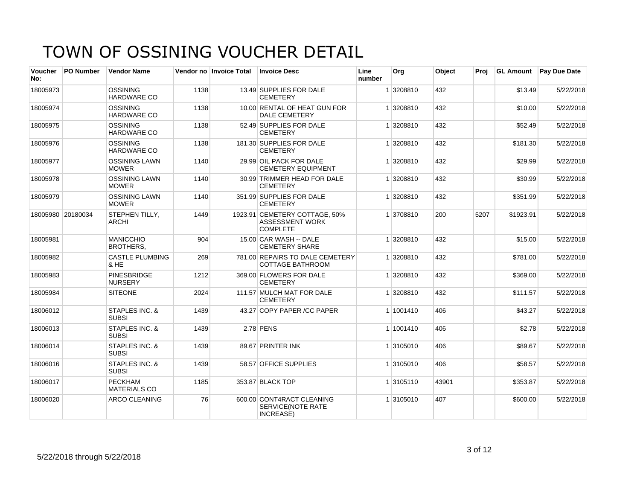| <b>Voucher</b><br>No: | <b>PO Number</b>  | <b>Vendor Name</b>                        |      | Vendor no Invoice Total | <b>Invoice Desc</b>                                                        | Line<br>number | Org       | Object | Proj | <b>GL Amount</b> | <b>Pay Due Date</b> |
|-----------------------|-------------------|-------------------------------------------|------|-------------------------|----------------------------------------------------------------------------|----------------|-----------|--------|------|------------------|---------------------|
| 18005973              |                   | <b>OSSINING</b><br><b>HARDWARE CO</b>     | 1138 |                         | 13.49 SUPPLIES FOR DALE<br><b>CEMETERY</b>                                 |                | 3208810   | 432    |      | \$13.49          | 5/22/2018           |
| 18005974              |                   | <b>OSSINING</b><br>HARDWARE CO            | 1138 |                         | 10.00 RENTAL OF HEAT GUN FOR<br><b>DALE CEMETERY</b>                       |                | 1 3208810 | 432    |      | \$10.00          | 5/22/2018           |
| 18005975              |                   | OSSINING<br><b>HARDWARE CO</b>            | 1138 |                         | 52.49 SUPPLIES FOR DALE<br><b>CEMETERY</b>                                 |                | 1 3208810 | 432    |      | \$52.49          | 5/22/2018           |
| 18005976              |                   | OSSINING<br><b>HARDWARE CO</b>            | 1138 |                         | 181.30 SUPPLIES FOR DALE<br><b>CEMETERY</b>                                |                | 1 3208810 | 432    |      | \$181.30         | 5/22/2018           |
| 18005977              |                   | <b>OSSINING LAWN</b><br><b>MOWER</b>      | 1140 |                         | 29.99 OIL PACK FOR DALE<br><b>CEMETERY EQUIPMENT</b>                       |                | 1 3208810 | 432    |      | \$29.99          | 5/22/2018           |
| 18005978              |                   | <b>OSSINING LAWN</b><br><b>MOWER</b>      | 1140 |                         | 30.99 TRIMMER HEAD FOR DALE<br><b>CEMETERY</b>                             |                | 1 3208810 | 432    |      | \$30.99          | 5/22/2018           |
| 18005979              |                   | <b>OSSINING LAWN</b><br><b>MOWER</b>      | 1140 |                         | 351.99 SUPPLIES FOR DALE<br><b>CEMETERY</b>                                |                | 1 3208810 | 432    |      | \$351.99         | 5/22/2018           |
|                       | 18005980 20180034 | STEPHEN TILLY,<br><b>ARCHI</b>            | 1449 |                         | 1923.91 CEMETERY COTTAGE, 50%<br><b>ASSESSMENT WORK</b><br><b>COMPLETE</b> |                | 1 3708810 | 200    | 5207 | \$1923.91        | 5/22/2018           |
| 18005981              |                   | <b>MANICCHIO</b><br><b>BROTHERS.</b>      | 904  |                         | 15.00 CAR WASH -- DALE<br><b>CEMETERY SHARE</b>                            |                | 1 3208810 | 432    |      | \$15.00          | 5/22/2018           |
| 18005982              |                   | <b>CASTLE PLUMBING</b><br>& HE            | 269  |                         | 781.00 REPAIRS TO DALE CEMETERY<br><b>COTTAGE BATHROOM</b>                 |                | 1 3208810 | 432    |      | \$781.00         | 5/22/2018           |
| 18005983              |                   | <b>PINESBRIDGE</b><br><b>NURSERY</b>      | 1212 |                         | 369.00 FLOWERS FOR DALE<br><b>CEMETERY</b>                                 |                | 1 3208810 | 432    |      | \$369.00         | 5/22/2018           |
| 18005984              |                   | <b>SITEONE</b>                            | 2024 |                         | 111.57 MULCH MAT FOR DALE<br><b>CEMETERY</b>                               |                | 1 3208810 | 432    |      | \$111.57         | 5/22/2018           |
| 18006012              |                   | <b>STAPLES INC. &amp;</b><br><b>SUBSI</b> | 1439 |                         | 43.27 COPY PAPER /CC PAPER                                                 |                | 1 1001410 | 406    |      | \$43.27          | 5/22/2018           |
| 18006013              |                   | STAPLES INC. &<br><b>SUBSI</b>            | 1439 |                         | 2.78 PENS                                                                  |                | 1 1001410 | 406    |      | \$2.78           | 5/22/2018           |
| 18006014              |                   | <b>STAPLES INC. &amp;</b><br><b>SUBSI</b> | 1439 |                         | 89.67 PRINTER INK                                                          |                | 1 3105010 | 406    |      | \$89.67          | 5/22/2018           |
| 18006016              |                   | <b>STAPLES INC. &amp;</b><br><b>SUBSI</b> | 1439 |                         | 58.57 OFFICE SUPPLIES                                                      |                | 1 3105010 | 406    |      | \$58.57          | 5/22/2018           |
| 18006017              |                   | <b>PECKHAM</b><br><b>MATERIALS CO</b>     | 1185 |                         | 353.87 BLACK TOP                                                           |                | 1 3105110 | 43901  |      | \$353.87         | 5/22/2018           |
| 18006020              |                   | <b>ARCO CLEANING</b>                      | 76   |                         | 600.00 CONT4RACT CLEANING<br>SERVICE(NOTE RATE<br>INCREASE)                |                | 1 3105010 | 407    |      | \$600.00         | 5/22/2018           |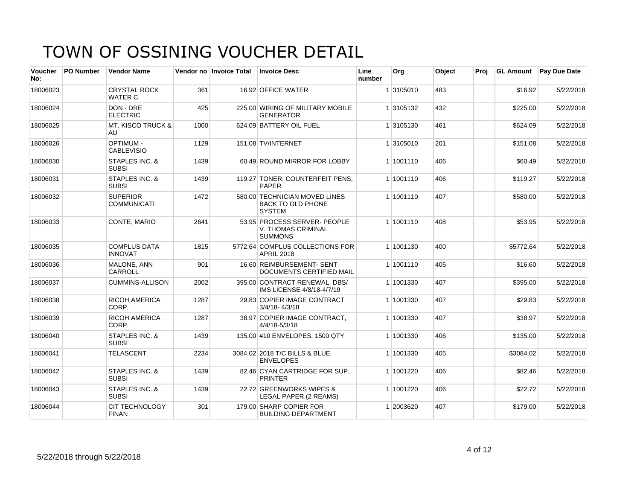| Voucher<br>No: | <b>PO Number</b> | <b>Vendor Name</b>                    |      | Vendor no Invoice Total | <b>Invoice Desc</b>                                                        | Line<br>number | Org       | Object | Proj | <b>GL Amount</b> | Pay Due Date |
|----------------|------------------|---------------------------------------|------|-------------------------|----------------------------------------------------------------------------|----------------|-----------|--------|------|------------------|--------------|
| 18006023       |                  | <b>CRYSTAL ROCK</b><br><b>WATER C</b> | 361  |                         | 16.92 OFFICE WATER                                                         |                | 1 3105010 | 483    |      | \$16.92          | 5/22/2018    |
| 18006024       |                  | DON - DRE<br><b>ELECTRIC</b>          | 425  |                         | 225.00 WIRING OF MILITARY MOBILE<br><b>GENERATOR</b>                       |                | 1 3105132 | 432    |      | \$225.00         | 5/22/2018    |
| 18006025       |                  | <b>MT. KISCO TRUCK &amp;</b><br>AU    | 1000 |                         | 624.09 BATTERY OIL FUEL                                                    |                | 1 3105130 | 461    |      | \$624.09         | 5/22/2018    |
| 18006026       |                  | <b>OPTIMUM -</b><br><b>CABLEVISIO</b> | 1129 |                         | 151.08 TV/INTERNET                                                         |                | 1 3105010 | 201    |      | \$151.08         | 5/22/2018    |
| 18006030       |                  | STAPLES INC. &<br><b>SUBSI</b>        | 1439 |                         | 60.49 ROUND MIRROR FOR LOBBY                                               |                | 1 1001110 | 406    |      | \$60.49          | 5/22/2018    |
| 18006031       |                  | STAPLES INC. &<br><b>SUBSI</b>        | 1439 |                         | 119.27 TONER, COUNTERFEIT PENS,<br><b>PAPER</b>                            |                | 1 1001110 | 406    |      | \$119.27         | 5/22/2018    |
| 18006032       |                  | <b>SUPERIOR</b><br><b>COMMUNICATI</b> | 1472 |                         | 580.00 TECHNICIAN MOVED LINES<br><b>BACK TO OLD PHONE</b><br><b>SYSTEM</b> |                | 1 1001110 | 407    |      | \$580.00         | 5/22/2018    |
| 18006033       |                  | CONTE, MARIO                          | 2641 |                         | 53.95 PROCESS SERVER- PEOPLE<br>V. THOMAS CRIMINAL<br><b>SUMMONS</b>       |                | 1 1001110 | 408    |      | \$53.95          | 5/22/2018    |
| 18006035       |                  | <b>COMPLUS DATA</b><br><b>INNOVAT</b> | 1815 |                         | 5772.64 COMPLUS COLLECTIONS FOR<br><b>APRIL 2018</b>                       |                | 1 1001130 | 400    |      | \$5772.64        | 5/22/2018    |
| 18006036       |                  | MALONE, ANN<br><b>CARROLL</b>         | 901  |                         | 16.60 REIMBURSEMENT- SENT<br>DOCUMENTS CERTIFIED MAIL                      |                | 1 1001110 | 405    |      | \$16.60          | 5/22/2018    |
| 18006037       |                  | <b>CUMMINS-ALLISON</b>                | 2002 |                         | 395.00 CONTRACT RENEWAL, DBS/<br>IMS LICENSE 4/8/18-4/7/19                 |                | 1 1001330 | 407    |      | \$395.00         | 5/22/2018    |
| 18006038       |                  | <b>RICOH AMERICA</b><br>CORP.         | 1287 |                         | 29.83 COPIER IMAGE CONTRACT<br>$3/4/18 - 4/3/18$                           |                | 1 1001330 | 407    |      | \$29.83          | 5/22/2018    |
| 18006039       |                  | <b>RICOH AMERICA</b><br>CORP.         | 1287 |                         | 38.97 COPIER IMAGE CONTRACT,<br>4/4/18-5/3/18                              |                | 1 1001330 | 407    |      | \$38.97          | 5/22/2018    |
| 18006040       |                  | STAPLES INC. &<br><b>SUBSI</b>        | 1439 |                         | 135.00 #10 ENVELOPES, 1500 QTY                                             |                | 1 1001330 | 406    |      | \$135.00         | 5/22/2018    |
| 18006041       |                  | <b>TELASCENT</b>                      | 2234 |                         | 3084.02 2018 T/C BILLS & BLUE<br><b>ENVELOPES</b>                          |                | 1 1001330 | 405    |      | \$3084.02        | 5/22/2018    |
| 18006042       |                  | STAPLES INC. &<br><b>SUBSI</b>        | 1439 |                         | 82.46 CYAN CARTRIDGE FOR SUP.<br><b>PRINTER</b>                            |                | 1 1001220 | 406    |      | \$82.46          | 5/22/2018    |
| 18006043       |                  | STAPLES INC. &<br><b>SUBSI</b>        | 1439 |                         | 22.72 GREENWORKS WIPES &<br>LEGAL PAPER (2 REAMS)                          |                | 1 1001220 | 406    |      | \$22.72          | 5/22/2018    |
| 18006044       |                  | <b>CIT TECHNOLOGY</b><br><b>FINAN</b> | 301  |                         | 179.00 SHARP COPIER FOR<br><b>BUILDING DEPARTMENT</b>                      |                | 1 2003620 | 407    |      | \$179.00         | 5/22/2018    |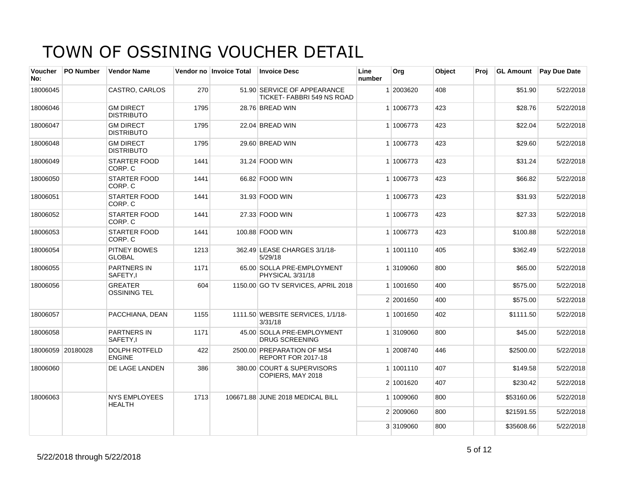| <b>Voucher</b><br>No: | <b>PO Number</b>  | <b>Vendor Name</b>                    |      | Vendor no Invoice Total | <b>Invoice Desc</b>                                      | Line<br>number | Org       | Object | Proi | <b>GL Amount</b> | Pay Due Date |
|-----------------------|-------------------|---------------------------------------|------|-------------------------|----------------------------------------------------------|----------------|-----------|--------|------|------------------|--------------|
| 18006045              |                   | CASTRO, CARLOS                        | 270  |                         | 51.90 SERVICE OF APPEARANCE<br>TICKET-FABBRI 549 NS ROAD |                | 1 2003620 | 408    |      | \$51.90          | 5/22/2018    |
| 18006046              |                   | <b>GM DIRECT</b><br><b>DISTRIBUTO</b> | 1795 |                         | 28.76 BREAD WIN                                          |                | 1 1006773 | 423    |      | \$28.76          | 5/22/2018    |
| 18006047              |                   | <b>GM DIRECT</b><br><b>DISTRIBUTO</b> | 1795 |                         | 22.04 BREAD WIN                                          |                | 1 1006773 | 423    |      | \$22.04          | 5/22/2018    |
| 18006048              |                   | <b>GM DIRECT</b><br><b>DISTRIBUTO</b> | 1795 |                         | 29.60 BREAD WIN                                          |                | 1 1006773 | 423    |      | \$29.60          | 5/22/2018    |
| 18006049              |                   | <b>STARTER FOOD</b><br>CORP. C        | 1441 |                         | 31.24 FOOD WIN                                           |                | 1 1006773 | 423    |      | \$31.24          | 5/22/2018    |
| 18006050              |                   | <b>STARTER FOOD</b><br>CORP. C        | 1441 |                         | 66.82 FOOD WIN                                           |                | 1 1006773 | 423    |      | \$66.82          | 5/22/2018    |
| 18006051              |                   | <b>STARTER FOOD</b><br>CORP. C        | 1441 |                         | 31.93 FOOD WIN                                           |                | 1 1006773 | 423    |      | \$31.93          | 5/22/2018    |
| 18006052              |                   | STARTER FOOD<br>CORP. C               | 1441 |                         | 27.33 FOOD WIN                                           |                | 1 1006773 | 423    |      | \$27.33          | 5/22/2018    |
| 18006053              |                   | <b>STARTER FOOD</b><br>CORP. C        | 1441 |                         | 100.88 FOOD WIN                                          |                | 1 1006773 | 423    |      | \$100.88         | 5/22/2018    |
| 18006054              |                   | PITNEY BOWES<br><b>GLOBAL</b>         | 1213 |                         | 362.49 LEASE CHARGES 3/1/18-<br>5/29/18                  |                | 1 1001110 | 405    |      | \$362.49         | 5/22/2018    |
| 18006055              |                   | <b>PARTNERS IN</b><br>SAFETY,I        | 1171 |                         | 65.00 SOLLA PRE-EMPLOYMENT<br>PHYSICAL 3/31/18           |                | 1 3109060 | 800    |      | \$65.00          | 5/22/2018    |
| 18006056              |                   | <b>GREATER</b><br><b>OSSINING TEL</b> | 604  |                         | 1150.00 GO TV SERVICES, APRIL 2018                       |                | 1 1001650 | 400    |      | \$575.00         | 5/22/2018    |
|                       |                   |                                       |      |                         |                                                          |                | 2 2001650 | 400    |      | \$575.00         | 5/22/2018    |
| 18006057              |                   | PACCHIANA, DEAN                       | 1155 |                         | 1111.50 WEBSITE SERVICES, 1/1/18-<br>3/31/18             |                | 1 1001650 | 402    |      | \$1111.50        | 5/22/2018    |
| 18006058              |                   | <b>PARTNERS IN</b><br>SAFETY,I        | 1171 |                         | 45.00 SOLLA PRE-EMPLOYMENT<br><b>DRUG SCREENING</b>      |                | 1 3109060 | 800    |      | \$45.00          | 5/22/2018    |
|                       | 18006059 20180028 | <b>DOLPH ROTFELD</b><br><b>ENGINE</b> | 422  |                         | 2500.00 PREPARATION OF MS4<br>REPORT FOR 2017-18         |                | 1 2008740 | 446    |      | \$2500.00        | 5/22/2018    |
| 18006060              |                   | DE LAGE LANDEN                        | 386  |                         | 380.00 COURT & SUPERVISORS<br>COPIERS, MAY 2018          |                | 1 1001110 | 407    |      | \$149.58         | 5/22/2018    |
|                       |                   |                                       |      |                         |                                                          |                | 2 1001620 | 407    |      | \$230.42         | 5/22/2018    |
| 18006063              |                   | <b>NYS EMPLOYEES</b><br><b>HEALTH</b> | 1713 |                         | 106671.88 JUNE 2018 MEDICAL BILL                         |                | 1 1009060 | 800    |      | \$53160.06       | 5/22/2018    |
|                       |                   |                                       |      |                         |                                                          |                | 2 2009060 | 800    |      | \$21591.55       | 5/22/2018    |
|                       |                   |                                       |      |                         |                                                          |                | 3 3109060 | 800    |      | \$35608.66       | 5/22/2018    |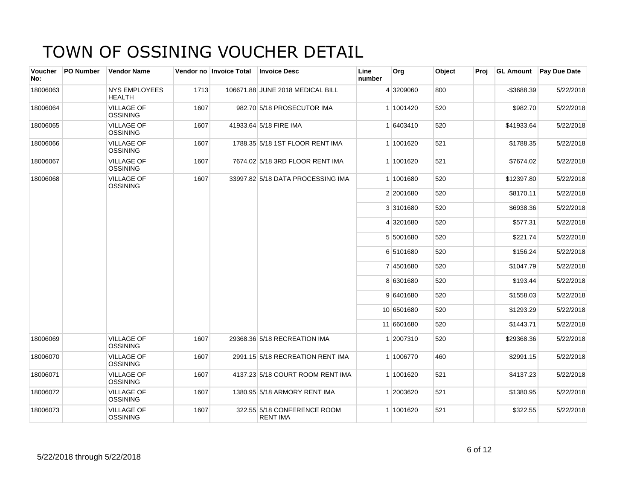| <b>Voucher</b><br>No: | <b>PO Number</b> | <b>Vendor Name</b>                    |      | Vendor no Invoice Total | <b>Invoice Desc</b>                            | Line<br>number | Org        | Object | Proi |            | <b>GL Amount</b> Pay Due Date |
|-----------------------|------------------|---------------------------------------|------|-------------------------|------------------------------------------------|----------------|------------|--------|------|------------|-------------------------------|
| 18006063              |                  | <b>NYS EMPLOYEES</b><br><b>HEALTH</b> | 1713 |                         | 106671.88 JUNE 2018 MEDICAL BILL               |                | 4 3209060  | 800    |      | -\$3688.39 | 5/22/2018                     |
| 18006064              |                  | <b>VILLAGE OF</b><br><b>OSSINING</b>  | 1607 |                         | 982.70 5/18 PROSECUTOR IMA                     |                | 1 1001420  | 520    |      | \$982.70   | 5/22/2018                     |
| 18006065              |                  | <b>VILLAGE OF</b><br><b>OSSINING</b>  | 1607 |                         | 41933.64 5/18 FIRE IMA                         |                | 1 6403410  | 520    |      | \$41933.64 | 5/22/2018                     |
| 18006066              |                  | <b>VILLAGE OF</b><br><b>OSSINING</b>  | 1607 |                         | 1788.35 5/18 1ST FLOOR RENT IMA                |                | 1 1001620  | 521    |      | \$1788.35  | 5/22/2018                     |
| 18006067              |                  | <b>VILLAGE OF</b><br>OSSINING         | 1607 |                         | 7674.02 5/18 3RD FLOOR RENT IMA                |                | 1 1001620  | 521    |      | \$7674.02  | 5/22/2018                     |
| 18006068              |                  | <b>VILLAGE OF</b><br><b>OSSINING</b>  | 1607 |                         | 33997.82 5/18 DATA PROCESSING IMA              |                | 1 1001680  | 520    |      | \$12397.80 | 5/22/2018                     |
|                       |                  |                                       |      |                         |                                                |                | 2 2001680  | 520    |      | \$8170.11  | 5/22/2018                     |
|                       |                  |                                       |      |                         |                                                |                | 3 3101680  | 520    |      | \$6938.36  | 5/22/2018                     |
|                       |                  |                                       |      |                         |                                                |                | 4 3201680  | 520    |      | \$577.31   | 5/22/2018                     |
|                       |                  |                                       |      |                         |                                                |                | 5 5001680  | 520    |      | \$221.74   | 5/22/2018                     |
|                       |                  |                                       |      |                         |                                                |                | 6 5101680  | 520    |      | \$156.24   | 5/22/2018                     |
|                       |                  |                                       |      |                         |                                                |                | 7 4501680  | 520    |      | \$1047.79  | 5/22/2018                     |
|                       |                  |                                       |      |                         |                                                |                | 8 6301680  | 520    |      | \$193.44   | 5/22/2018                     |
|                       |                  |                                       |      |                         |                                                |                | 9 6401680  | 520    |      | \$1558.03  | 5/22/2018                     |
|                       |                  |                                       |      |                         |                                                |                | 10 6501680 | 520    |      | \$1293.29  | 5/22/2018                     |
|                       |                  |                                       |      |                         |                                                |                | 11 6601680 | 520    |      | \$1443.71  | 5/22/2018                     |
| 18006069              |                  | <b>VILLAGE OF</b><br><b>OSSINING</b>  | 1607 |                         | 29368.36 5/18 RECREATION IMA                   |                | 1 2007310  | 520    |      | \$29368.36 | 5/22/2018                     |
| 18006070              |                  | <b>VILLAGE OF</b><br>OSSINING         | 1607 |                         | 2991.15 5/18 RECREATION RENT IMA               |                | 1 1006770  | 460    |      | \$2991.15  | 5/22/2018                     |
| 18006071              |                  | <b>VILLAGE OF</b><br><b>OSSINING</b>  | 1607 |                         | 4137.23 5/18 COURT ROOM RENT IMA               |                | 1 1001620  | 521    |      | \$4137.23  | 5/22/2018                     |
| 18006072              |                  | <b>VILLAGE OF</b><br><b>OSSINING</b>  | 1607 |                         | 1380.95 5/18 ARMORY RENT IMA                   |                | 1 2003620  | 521    |      | \$1380.95  | 5/22/2018                     |
| 18006073              |                  | <b>VILLAGE OF</b><br><b>OSSINING</b>  | 1607 |                         | 322.55 5/18 CONFERENCE ROOM<br><b>RENT IMA</b> |                | 1 1001620  | 521    |      | \$322.55   | 5/22/2018                     |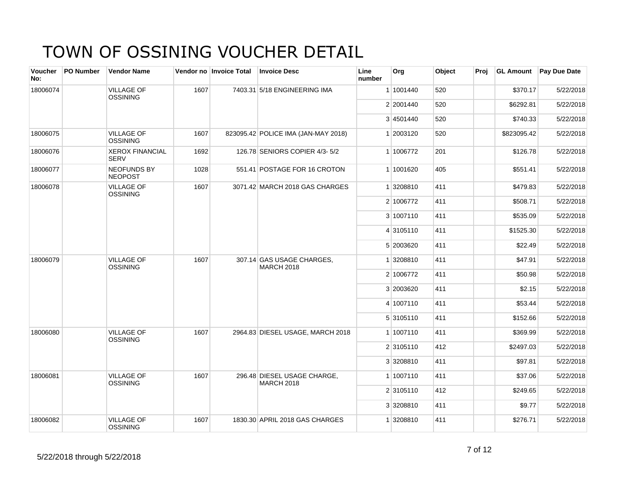| <b>Voucher</b><br>No: | <b>PO Number</b> | <b>Vendor Name</b>                    |      | Vendor no Invoice Total | <b>Invoice Desc</b>                              | Line<br>number | Org       | Object | Proj | <b>GL Amount</b> | <b>Pay Due Date</b> |
|-----------------------|------------------|---------------------------------------|------|-------------------------|--------------------------------------------------|----------------|-----------|--------|------|------------------|---------------------|
| 18006074              |                  | <b>VILLAGE OF</b><br><b>OSSINING</b>  | 1607 |                         | 7403.31 5/18 ENGINEERING IMA                     |                | 1 1001440 | 520    |      | \$370.17         | 5/22/2018           |
|                       |                  |                                       |      |                         |                                                  |                | 2 2001440 | 520    |      | \$6292.81        | 5/22/2018           |
|                       |                  |                                       |      |                         |                                                  |                | 3 4501440 | 520    |      | \$740.33         | 5/22/2018           |
| 18006075              |                  | <b>VILLAGE OF</b><br><b>OSSINING</b>  | 1607 |                         | 823095.42 POLICE IMA (JAN-MAY 2018)              |                | 1 2003120 | 520    |      | \$823095.42      | 5/22/2018           |
| 18006076              |                  | <b>XEROX FINANCIAL</b><br><b>SERV</b> | 1692 |                         | 126.78 SENIORS COPIER 4/3-5/2                    |                | 1 1006772 | 201    |      | \$126.78         | 5/22/2018           |
| 18006077              |                  | <b>NEOFUNDS BY</b><br><b>NEOPOST</b>  | 1028 |                         | 551.41 POSTAGE FOR 16 CROTON                     |                | 1 1001620 | 405    |      | \$551.41         | 5/22/2018           |
| 18006078              |                  | <b>VILLAGE OF</b><br><b>OSSINING</b>  | 1607 |                         | 3071.42 MARCH 2018 GAS CHARGES                   |                | 1 3208810 | 411    |      | \$479.83         | 5/22/2018           |
|                       |                  |                                       |      |                         |                                                  |                | 2 1006772 | 411    |      | \$508.71         | 5/22/2018           |
|                       |                  |                                       |      |                         |                                                  |                | 3 1007110 | 411    |      | \$535.09         | 5/22/2018           |
|                       |                  |                                       |      |                         |                                                  |                | 4 3105110 | 411    |      | \$1525.30        | 5/22/2018           |
|                       |                  |                                       |      |                         |                                                  |                | 5 2003620 | 411    |      | \$22.49          | 5/22/2018           |
| 18006079              |                  | <b>VILLAGE OF</b><br><b>OSSINING</b>  | 1607 |                         | 307.14 GAS USAGE CHARGES.<br><b>MARCH 2018</b>   |                | 1 3208810 | 411    |      | \$47.91          | 5/22/2018           |
|                       |                  |                                       |      |                         |                                                  |                | 2 1006772 | 411    |      | \$50.98          | 5/22/2018           |
|                       |                  |                                       |      |                         |                                                  |                | 3 2003620 | 411    |      | \$2.15           | 5/22/2018           |
|                       |                  |                                       |      |                         |                                                  |                | 4 1007110 | 411    |      | \$53.44          | 5/22/2018           |
|                       |                  |                                       |      |                         |                                                  |                | 5 3105110 | 411    |      | \$152.66         | 5/22/2018           |
| 18006080              |                  | <b>VILLAGE OF</b><br><b>OSSINING</b>  | 1607 |                         | 2964.83 DIESEL USAGE, MARCH 2018                 |                | 1 1007110 | 411    |      | \$369.99         | 5/22/2018           |
|                       |                  |                                       |      |                         |                                                  |                | 2 3105110 | 412    |      | \$2497.03        | 5/22/2018           |
|                       |                  |                                       |      |                         |                                                  |                | 3 3208810 | 411    |      | \$97.81          | 5/22/2018           |
| 18006081              |                  | <b>VILLAGE OF</b><br><b>OSSINING</b>  | 1607 |                         | 296.48 DIESEL USAGE CHARGE,<br><b>MARCH 2018</b> |                | 1 1007110 | 411    |      | \$37.06          | 5/22/2018           |
|                       |                  |                                       |      |                         |                                                  |                | 2 3105110 | 412    |      | \$249.65         | 5/22/2018           |
|                       |                  |                                       |      |                         |                                                  |                | 3 3208810 | 411    |      | \$9.77           | 5/22/2018           |
| 18006082              |                  | <b>VILLAGE OF</b><br><b>OSSINING</b>  | 1607 |                         | 1830.30 APRIL 2018 GAS CHARGES                   |                | 1 3208810 | 411    |      | \$276.71         | 5/22/2018           |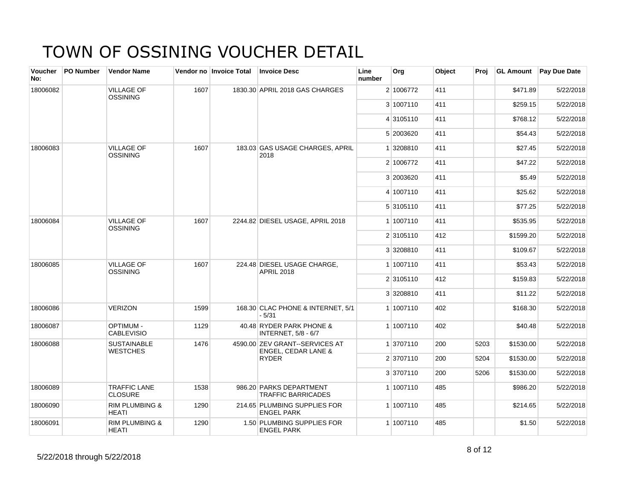| <b>Voucher</b><br>No: | <b>PO Number</b> | <b>Vendor Name</b>                        |      | Vendor no Invoice Total | <b>Invoice Desc</b>                                    | Line<br>number | Org       | Object | Proj |           | <b>GL Amount</b> Pay Due Date |
|-----------------------|------------------|-------------------------------------------|------|-------------------------|--------------------------------------------------------|----------------|-----------|--------|------|-----------|-------------------------------|
| 18006082              |                  | <b>VILLAGE OF</b><br><b>OSSINING</b>      | 1607 |                         | 1830.30 APRIL 2018 GAS CHARGES                         |                | 2 1006772 | 411    |      | \$471.89  | 5/22/2018                     |
|                       |                  |                                           |      |                         |                                                        |                | 3 1007110 | 411    |      | \$259.15  | 5/22/2018                     |
|                       |                  |                                           |      |                         |                                                        |                | 4 3105110 | 411    |      | \$768.12  | 5/22/2018                     |
|                       |                  |                                           |      |                         |                                                        |                | 5 2003620 | 411    |      | \$54.43   | 5/22/2018                     |
| 18006083              |                  | <b>VILLAGE OF</b><br><b>OSSINING</b>      | 1607 |                         | 183.03 GAS USAGE CHARGES, APRIL<br>2018                |                | 1 3208810 | 411    |      | \$27.45   | 5/22/2018                     |
|                       |                  |                                           |      |                         |                                                        |                | 2 1006772 | 411    |      | \$47.22   | 5/22/2018                     |
|                       |                  |                                           |      |                         |                                                        |                | 3 2003620 | 411    |      | \$5.49    | 5/22/2018                     |
|                       |                  |                                           |      |                         |                                                        |                | 4 1007110 | 411    |      | \$25.62   | 5/22/2018                     |
|                       |                  |                                           |      |                         |                                                        |                | 5 3105110 | 411    |      | \$77.25   | 5/22/2018                     |
| 18006084              |                  | <b>VILLAGE OF</b><br><b>OSSINING</b>      | 1607 |                         | 2244.82 DIESEL USAGE, APRIL 2018                       |                | 1 1007110 | 411    |      | \$535.95  | 5/22/2018                     |
|                       |                  |                                           |      |                         |                                                        |                | 2 3105110 | 412    |      | \$1599.20 | 5/22/2018                     |
|                       |                  |                                           |      |                         |                                                        |                | 3 3208810 | 411    |      | \$109.67  | 5/22/2018                     |
| 18006085              |                  | <b>VILLAGE OF</b><br><b>OSSINING</b>      | 1607 |                         | 224.48 DIESEL USAGE CHARGE,<br><b>APRIL 2018</b>       |                | 1 1007110 | 411    |      | \$53.43   | 5/22/2018                     |
|                       |                  |                                           |      |                         |                                                        |                | 2 3105110 | 412    |      | \$159.83  | 5/22/2018                     |
|                       |                  |                                           |      |                         |                                                        |                | 3 3208810 | 411    |      | \$11.22   | 5/22/2018                     |
| 18006086              |                  | <b>VERIZON</b>                            | 1599 |                         | 168.30 CLAC PHONE & INTERNET, 5/1<br>$-5/31$           |                | 1 1007110 | 402    |      | \$168.30  | 5/22/2018                     |
| 18006087              |                  | <b>OPTIMUM -</b><br><b>CABLEVISIO</b>     | 1129 |                         | 40.48 RYDER PARK PHONE &<br><b>INTERNET, 5/8 - 6/7</b> |                | 1 1007110 | 402    |      | \$40.48   | 5/22/2018                     |
| 18006088              |                  | <b>SUSTAINABLE</b><br><b>WESTCHES</b>     | 1476 |                         | 4590.00 ZEV GRANT--SERVICES AT<br>ENGEL, CEDAR LANE &  |                | 1 3707110 | 200    | 5203 | \$1530.00 | 5/22/2018                     |
|                       |                  |                                           |      |                         | <b>RYDER</b>                                           |                | 2 3707110 | 200    | 5204 | \$1530.00 | 5/22/2018                     |
|                       |                  |                                           |      |                         |                                                        |                | 3 3707110 | 200    | 5206 | \$1530.00 | 5/22/2018                     |
| 18006089              |                  | <b>TRAFFIC LANE</b><br><b>CLOSURE</b>     | 1538 |                         | 986.20 PARKS DEPARTMENT<br><b>TRAFFIC BARRICADES</b>   |                | 1 1007110 | 485    |      | \$986.20  | 5/22/2018                     |
| 18006090              |                  | <b>RIM PLUMBING &amp;</b><br><b>HEATI</b> | 1290 |                         | 214.65 PLUMBING SUPPLIES FOR<br><b>ENGEL PARK</b>      |                | 1 1007110 | 485    |      | \$214.65  | 5/22/2018                     |
| 18006091              |                  | <b>RIM PLUMBING &amp;</b><br><b>HEATI</b> | 1290 |                         | 1.50 PLUMBING SUPPLIES FOR<br><b>ENGEL PARK</b>        |                | 1 1007110 | 485    |      | \$1.50    | 5/22/2018                     |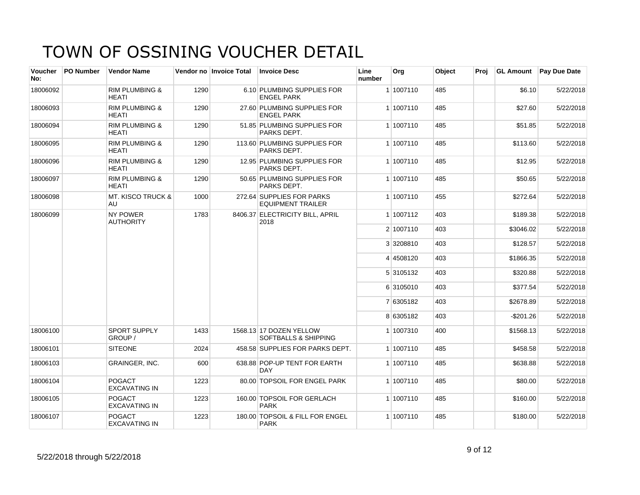| Voucher<br>No: | <b>PO Number</b> | <b>Vendor Name</b>                        |      | Vendor no Invoice Total | <b>Invoice Desc</b>                                        | Line<br>number | Org       | Object | Proj |              | <b>GL Amount</b> Pay Due Date |
|----------------|------------------|-------------------------------------------|------|-------------------------|------------------------------------------------------------|----------------|-----------|--------|------|--------------|-------------------------------|
| 18006092       |                  | <b>RIM PLUMBING &amp;</b><br><b>HEATI</b> | 1290 |                         | 6.10 PLUMBING SUPPLIES FOR<br><b>ENGEL PARK</b>            |                | 1 1007110 | 485    |      | \$6.10       | 5/22/2018                     |
| 18006093       |                  | <b>RIM PLUMBING &amp;</b><br><b>HEATI</b> | 1290 |                         | 27.60 PLUMBING SUPPLIES FOR<br><b>ENGEL PARK</b>           |                | 1 1007110 | 485    |      | \$27.60      | 5/22/2018                     |
| 18006094       |                  | <b>RIM PLUMBING &amp;</b><br><b>HEATI</b> | 1290 |                         | 51.85 PLUMBING SUPPLIES FOR<br>PARKS DEPT.                 |                | 1 1007110 | 485    |      | \$51.85      | 5/22/2018                     |
| 18006095       |                  | <b>RIM PLUMBING &amp;</b><br><b>HEATI</b> | 1290 |                         | 113.60 PLUMBING SUPPLIES FOR<br>PARKS DEPT.                |                | 1 1007110 | 485    |      | \$113.60     | 5/22/2018                     |
| 18006096       |                  | <b>RIM PLUMBING &amp;</b><br><b>HEATI</b> | 1290 |                         | 12.95 PLUMBING SUPPLIES FOR<br>PARKS DEPT.                 |                | 1 1007110 | 485    |      | \$12.95      | 5/22/2018                     |
| 18006097       |                  | <b>RIM PLUMBING &amp;</b><br><b>HEATI</b> | 1290 |                         | 50.65 PLUMBING SUPPLIES FOR<br>PARKS DEPT.                 |                | 1 1007110 | 485    |      | \$50.65      | 5/22/2018                     |
| 18006098       |                  | <b>MT. KISCO TRUCK &amp;</b><br>AU        | 1000 |                         | 272.64 SUPPLIES FOR PARKS<br><b>EQUIPMENT TRAILER</b>      |                | 1 1007110 | 455    |      | \$272.64     | 5/22/2018                     |
| 18006099       |                  | <b>NY POWER</b><br><b>AUTHORITY</b>       | 1783 |                         | 8406.37 ELECTRICITY BILL, APRIL<br>2018                    |                | 1 1007112 | 403    |      | \$189.38     | 5/22/2018                     |
|                |                  |                                           |      |                         |                                                            |                | 2 1007110 | 403    |      | \$3046.02    | 5/22/2018                     |
|                |                  |                                           |      |                         |                                                            |                | 3 3208810 | 403    |      | \$128.57     | 5/22/2018                     |
|                |                  |                                           |      |                         |                                                            |                | 4 4508120 | 403    |      | \$1866.35    | 5/22/2018                     |
|                |                  |                                           |      |                         |                                                            |                | 5 3105132 | 403    |      | \$320.88     | 5/22/2018                     |
|                |                  |                                           |      |                         |                                                            |                | 6 3105010 | 403    |      | \$377.54     | 5/22/2018                     |
|                |                  |                                           |      |                         |                                                            |                | 7 6305182 | 403    |      | \$2678.89    | 5/22/2018                     |
|                |                  |                                           |      |                         |                                                            |                | 8 6305182 | 403    |      | $-$ \$201.26 | 5/22/2018                     |
| 18006100       |                  | <b>SPORT SUPPLY</b><br>GROUP /            | 1433 |                         | 1568.13 17 DOZEN YELLOW<br><b>SOFTBALLS &amp; SHIPPING</b> |                | 1 1007310 | 400    |      | \$1568.13    | 5/22/2018                     |
| 18006101       |                  | <b>SITEONE</b>                            | 2024 |                         | 458.58 SUPPLIES FOR PARKS DEPT.                            |                | 1 1007110 | 485    |      | \$458.58     | 5/22/2018                     |
| 18006103       |                  | GRAINGER, INC.                            | 600  |                         | 638.88 POP-UP TENT FOR EARTH<br><b>DAY</b>                 |                | 1 1007110 | 485    |      | \$638.88     | 5/22/2018                     |
| 18006104       |                  | <b>POGACT</b><br><b>EXCAVATING IN</b>     | 1223 |                         | 80.00 TOPSOIL FOR ENGEL PARK                               |                | 1 1007110 | 485    |      | \$80.00      | 5/22/2018                     |
| 18006105       |                  | <b>POGACT</b><br><b>EXCAVATING IN</b>     | 1223 |                         | 160.00 TOPSOIL FOR GERLACH<br><b>PARK</b>                  |                | 1 1007110 | 485    |      | \$160.00     | 5/22/2018                     |
| 18006107       |                  | <b>POGACT</b><br><b>EXCAVATING IN</b>     | 1223 |                         | 180.00 TOPSOIL & FILL FOR ENGEL<br><b>PARK</b>             |                | 1 1007110 | 485    |      | \$180.00     | 5/22/2018                     |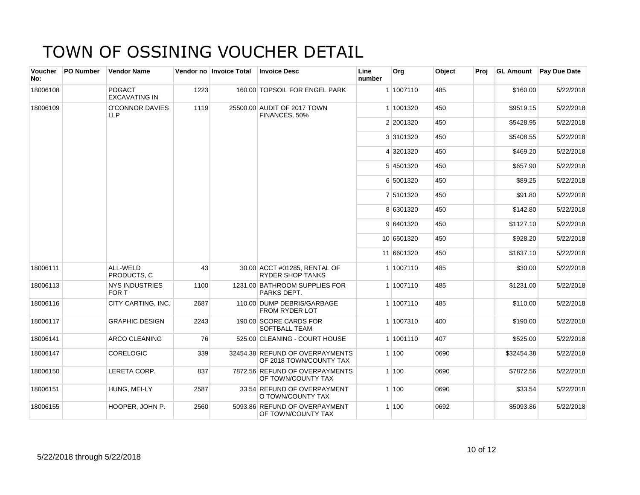| Voucher<br>No: | <b>PO Number</b> | <b>Vendor Name</b>                    |      | Vendor no Invoice Total | <b>Invoice Desc</b>                                        | Line<br>number | Org        | Object | Proj |            | GL Amount Pay Due Date |
|----------------|------------------|---------------------------------------|------|-------------------------|------------------------------------------------------------|----------------|------------|--------|------|------------|------------------------|
| 18006108       |                  | <b>POGACT</b><br><b>EXCAVATING IN</b> | 1223 |                         | 160.00 TOPSOIL FOR ENGEL PARK                              |                | 1 1007110  | 485    |      | \$160.00   | 5/22/2018              |
| 18006109       |                  | <b>O'CONNOR DAVIES</b><br><b>LLP</b>  | 1119 |                         | 25500.00 AUDIT OF 2017 TOWN<br>FINANCES, 50%               |                | 1 1001320  | 450    |      | \$9519.15  | 5/22/2018              |
|                |                  |                                       |      |                         |                                                            |                | 2 2001320  | 450    |      | \$5428.95  | 5/22/2018              |
|                |                  |                                       |      |                         |                                                            |                | 3 3101320  | 450    |      | \$5408.55  | 5/22/2018              |
|                |                  |                                       |      |                         |                                                            |                | 4 3201320  | 450    |      | \$469.20   | 5/22/2018              |
|                |                  |                                       |      |                         |                                                            |                | 5 4501320  | 450    |      | \$657.90   | 5/22/2018              |
|                |                  |                                       |      |                         |                                                            |                | 6 5001320  | 450    |      | \$89.25    | 5/22/2018              |
|                |                  |                                       |      |                         |                                                            |                | 7 5101320  | 450    |      | \$91.80    | 5/22/2018              |
|                |                  |                                       |      |                         |                                                            |                | 8 6301320  | 450    |      | \$142.80   | 5/22/2018              |
|                |                  |                                       |      |                         |                                                            |                | 9 6401320  | 450    |      | \$1127.10  | 5/22/2018              |
|                |                  |                                       |      |                         |                                                            |                | 10 6501320 | 450    |      | \$928.20   | 5/22/2018              |
|                |                  |                                       |      |                         |                                                            |                | 11 6601320 | 450    |      | \$1637.10  | 5/22/2018              |
| 18006111       |                  | ALL-WELD<br>PRODUCTS, C               | 43   |                         | 30.00 ACCT #01285, RENTAL OF<br>RYDER SHOP TANKS           |                | 1 1007110  | 485    |      | \$30.00    | 5/22/2018              |
| 18006113       |                  | <b>NYS INDUSTRIES</b><br>FOR T        | 1100 |                         | 1231.00 BATHROOM SUPPLIES FOR<br>PARKS DEPT.               |                | 1 1007110  | 485    |      | \$1231.00  | 5/22/2018              |
| 18006116       |                  | CITY CARTING, INC.                    | 2687 |                         | 110.00 DUMP DEBRIS/GARBAGE<br>FROM RYDER LOT               |                | 1 1007110  | 485    |      | \$110.00   | 5/22/2018              |
| 18006117       |                  | <b>GRAPHIC DESIGN</b>                 | 2243 |                         | 190.00 SCORE CARDS FOR<br><b>SOFTBALL TEAM</b>             |                | 1 1007310  | 400    |      | \$190.00   | 5/22/2018              |
| 18006141       |                  | <b>ARCO CLEANING</b>                  | 76   |                         | 525.00 CLEANING - COURT HOUSE                              |                | 1 1001110  | 407    |      | \$525.00   | 5/22/2018              |
| 18006147       |                  | <b>CORELOGIC</b>                      | 339  |                         | 32454.38 REFUND OF OVERPAYMENTS<br>OF 2018 TOWN/COUNTY TAX |                | 1 100      | 0690   |      | \$32454.38 | 5/22/2018              |
| 18006150       |                  | LERETA CORP.                          | 837  |                         | 7872.56 REFUND OF OVERPAYMENTS<br>OF TOWN/COUNTY TAX       |                | 1 100      | 0690   |      | \$7872.56  | 5/22/2018              |
| 18006151       |                  | HUNG, MEI-LY                          | 2587 |                         | 33.54 REFUND OF OVERPAYMENT<br>O TOWN/COUNTY TAX           |                | 1 100      | 0690   |      | \$33.54    | 5/22/2018              |
| 18006155       |                  | HOOPER, JOHN P.                       | 2560 |                         | 5093.86 REFUND OF OVERPAYMENT<br>OF TOWN/COUNTY TAX        |                | 1 100      | 0692   |      | \$5093.86  | 5/22/2018              |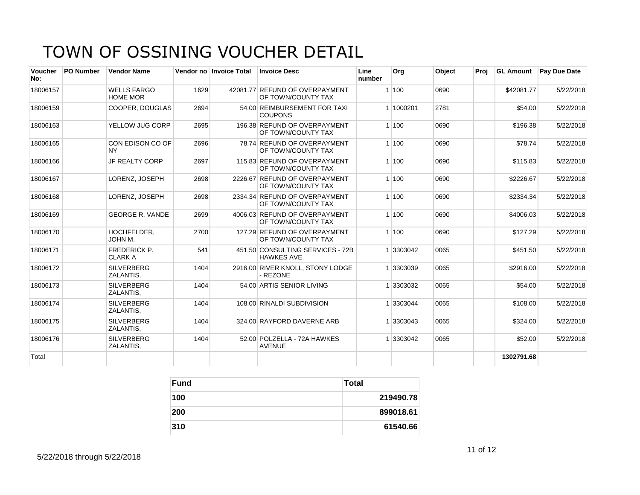| <b>Voucher</b><br>No: | <b>PO Number</b> | <b>Vendor Name</b>                    |      | Vendor no Invoice Total | <b>Invoice Desc</b>                                  | Line<br>number | Org       | Object | Proj | <b>GL Amount</b> | Pay Due Date |
|-----------------------|------------------|---------------------------------------|------|-------------------------|------------------------------------------------------|----------------|-----------|--------|------|------------------|--------------|
| 18006157              |                  | <b>WELLS FARGO</b><br><b>HOME MOR</b> | 1629 |                         | 42081.77 REFUND OF OVERPAYMENT<br>OF TOWN/COUNTY TAX |                | 1100      | 0690   |      | \$42081.77       | 5/22/2018    |
| 18006159              |                  | <b>COOPER, DOUGLAS</b>                | 2694 |                         | 54.00 REIMBURSEMENT FOR TAXI<br><b>COUPONS</b>       |                | 1 1000201 | 2781   |      | \$54.00          | 5/22/2018    |
| 18006163              |                  | YELLOW JUG CORP                       | 2695 |                         | 196.38 REFUND OF OVERPAYMENT<br>OF TOWN/COUNTY TAX   |                | 1100      | 0690   |      | \$196.38         | 5/22/2018    |
| 18006165              |                  | CON EDISON CO OF<br>NY.               | 2696 |                         | 78.74 REFUND OF OVERPAYMENT<br>OF TOWN/COUNTY TAX    |                | 1100      | 0690   |      | \$78.74          | 5/22/2018    |
| 18006166              |                  | <b>JF REALTY CORP</b>                 | 2697 |                         | 115.83 REFUND OF OVERPAYMENT<br>OF TOWN/COUNTY TAX   |                | 1100      | 0690   |      | \$115.83         | 5/22/2018    |
| 18006167              |                  | LORENZ, JOSEPH                        | 2698 |                         | 2226.67 REFUND OF OVERPAYMENT<br>OF TOWN/COUNTY TAX  |                | 1100      | 0690   |      | \$2226.67        | 5/22/2018    |
| 18006168              |                  | LORENZ, JOSEPH                        | 2698 |                         | 2334.34 REFUND OF OVERPAYMENT<br>OF TOWN/COUNTY TAX  |                | 1 100     | 0690   |      | \$2334.34        | 5/22/2018    |
| 18006169              |                  | <b>GEORGE R. VANDE</b>                | 2699 |                         | 4006.03 REFUND OF OVERPAYMENT<br>OF TOWN/COUNTY TAX  |                | 1100      | 0690   |      | \$4006.03        | 5/22/2018    |
| 18006170              |                  | HOCHFELDER.<br>JOHN M.                | 2700 |                         | 127.29 REFUND OF OVERPAYMENT<br>OF TOWN/COUNTY TAX   |                | 1100      | 0690   |      | \$127.29         | 5/22/2018    |
| 18006171              |                  | <b>FREDERICK P.</b><br><b>CLARK A</b> | 541  |                         | 451.50 CONSULTING SERVICES - 72B<br>HAWKES AVE.      |                | 1 3303042 | 0065   |      | \$451.50         | 5/22/2018    |
| 18006172              |                  | <b>SILVERBERG</b><br><b>ZALANTIS.</b> | 1404 |                         | 2916.00 RIVER KNOLL, STONY LODGE<br>- REZONE         |                | 3303039   | 0065   |      | \$2916.00        | 5/22/2018    |
| 18006173              |                  | <b>SILVERBERG</b><br><b>ZALANTIS.</b> | 1404 |                         | 54.00 ARTIS SENIOR LIVING                            |                | 3303032   | 0065   |      | \$54.00          | 5/22/2018    |
| 18006174              |                  | <b>SILVERBERG</b><br>ZALANTIS,        | 1404 |                         | 108.00 RINALDI SUBDIVISION                           |                | 3303044   | 0065   |      | \$108.00         | 5/22/2018    |
| 18006175              |                  | <b>SILVERBERG</b><br>ZALANTIS,        | 1404 |                         | 324.00 RAYFORD DAVERNE ARB                           |                | 1 3303043 | 0065   |      | \$324.00         | 5/22/2018    |
| 18006176              |                  | <b>SILVERBERG</b><br>ZALANTIS,        | 1404 |                         | 52.00 POLZELLA - 72A HAWKES<br><b>AVENUE</b>         |                | 3303042   | 0065   |      | \$52.00          | 5/22/2018    |
| Total                 |                  |                                       |      |                         |                                                      |                |           |        |      | 1302791.68       |              |

| <b>Fund</b> | <b>Total</b> |
|-------------|--------------|
| 100         | 219490.78    |
| 200         | 899018.61    |
| 310         | 61540.66     |